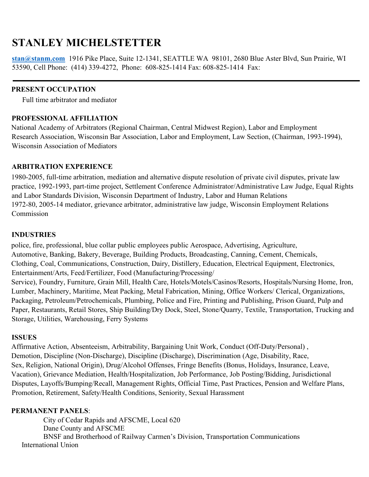# **STANLEY MICHELSTETTER**

**[stan@stanm.com](mailto:stan@stanm.com)** 1916 Pike Place, Suite 12-1341, SEATTLE WA 98101, 2680 Blue Aster Blvd, Sun Prairie, WI 53590, Cell Phone: (414) 339-4272, Phone: 608-825-1414 Fax: 608-825-1414 Fax:

#### **PRESENT OCCUPATION**

Full time arbitrator and mediator

## **PROFESSIONAL AFFILIATION**

National Academy of Arbitrators (Regional Chairman, Central Midwest Region), Labor and Employment Research Association, Wisconsin Bar Association, Labor and Employment, Law Section, (Chairman, 1993-1994), Wisconsin Association of Mediators

### **ARBITRATION EXPERIENCE**

1980-2005, full-time arbitration, mediation and alternative dispute resolution of private civil disputes, private law practice, 1992-1993, part-time project, Settlement Conference Administrator/Administrative Law Judge, Equal Rights and Labor Standards Division, Wisconsin Department of Industry, Labor and Human Relations 1972-80, 2005-14 mediator, grievance arbitrator, administrative law judge, Wisconsin Employment Relations Commission

#### **INDUSTRIES**

police, fire, professional, blue collar public employees public Aerospace, Advertising, Agriculture, Automotive, Banking, Bakery, Beverage, Building Products, Broadcasting, Canning, Cement, Chemicals, Clothing, Coal, Communications, Construction, Dairy, Distillery, Education, Electrical Equipment, Electronics, Entertainment/Arts, Feed/Fertilizer, Food (Manufacturing/Processing/ Service), Foundry, Furniture, Grain Mill, Health Care, Hotels/Motels/Casinos/Resorts, Hospitals/Nursing Home, Iron, Lumber, Machinery, Maritime, Meat Packing, Metal Fabrication, Mining, Office Workers/ Clerical, Organizations, Packaging, Petroleum/Petrochemicals, Plumbing, Police and Fire, Printing and Publishing, Prison Guard, Pulp and Paper, Restaurants, Retail Stores, Ship Building/Dry Dock, Steel, Stone/Quarry, Textile, Transportation, Trucking and Storage, Utilities, Warehousing, Ferry Systems

#### **ISSUES**

Affirmative Action, Absenteeism, Arbitrability, Bargaining Unit Work, Conduct (Off-Duty/Personal) , Demotion, Discipline (Non-Discharge), Discipline (Discharge), Discrimination (Age, Disability, Race, Sex, Religion, National Origin), Drug/Alcohol Offenses, Fringe Benefits (Bonus, Holidays, Insurance, Leave, Vacation), Grievance Mediation, Health/Hospitalization, Job Performance, Job Posting/Bidding, Jurisdictional Disputes, Layoffs/Bumping/Recall, Management Rights, Official Time, Past Practices, Pension and Welfare Plans, Promotion, Retirement, Safety/Health Conditions, Seniority, Sexual Harassment

#### **PERMANENT PANELS**:

City of Cedar Rapids and AFSCME, Local 620 Dane County and AFSCME BNSF and Brotherhood of Railway Carmen's Division, Transportation Communications International Union